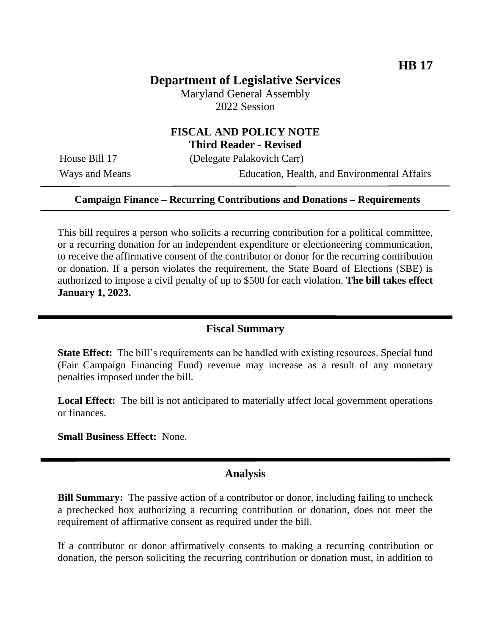## **Department of Legislative Services**

Maryland General Assembly 2022 Session

# **FISCAL AND POLICY NOTE**

**Third Reader - Revised**

House Bill 17 (Delegate Palakovich Carr)

Ways and Means Education, Health, and Environmental Affairs

#### **Campaign Finance – Recurring Contributions and Donations – Requirements**

This bill requires a person who solicits a recurring contribution for a political committee, or a recurring donation for an independent expenditure or electioneering communication, to receive the affirmative consent of the contributor or donor for the recurring contribution or donation. If a person violates the requirement, the State Board of Elections (SBE) is authorized to impose a civil penalty of up to \$500 for each violation. **The bill takes effect January 1, 2023.**

#### **Fiscal Summary**

**State Effect:** The bill's requirements can be handled with existing resources. Special fund (Fair Campaign Financing Fund) revenue may increase as a result of any monetary penalties imposed under the bill.

**Local Effect:** The bill is not anticipated to materially affect local government operations or finances.

**Small Business Effect:** None.

#### **Analysis**

**Bill Summary:** The passive action of a contributor or donor, including failing to uncheck a prechecked box authorizing a recurring contribution or donation, does not meet the requirement of affirmative consent as required under the bill.

If a contributor or donor affirmatively consents to making a recurring contribution or donation, the person soliciting the recurring contribution or donation must, in addition to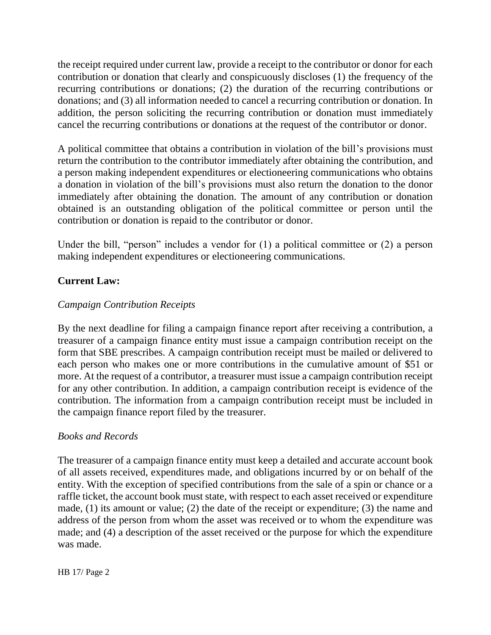the receipt required under current law, provide a receipt to the contributor or donor for each contribution or donation that clearly and conspicuously discloses (1) the frequency of the recurring contributions or donations; (2) the duration of the recurring contributions or donations; and (3) all information needed to cancel a recurring contribution or donation. In addition, the person soliciting the recurring contribution or donation must immediately cancel the recurring contributions or donations at the request of the contributor or donor.

A political committee that obtains a contribution in violation of the bill's provisions must return the contribution to the contributor immediately after obtaining the contribution, and a person making independent expenditures or electioneering communications who obtains a donation in violation of the bill's provisions must also return the donation to the donor immediately after obtaining the donation. The amount of any contribution or donation obtained is an outstanding obligation of the political committee or person until the contribution or donation is repaid to the contributor or donor.

Under the bill, "person" includes a vendor for (1) a political committee or (2) a person making independent expenditures or electioneering communications.

## **Current Law:**

## *Campaign Contribution Receipts*

By the next deadline for filing a campaign finance report after receiving a contribution, a treasurer of a campaign finance entity must issue a campaign contribution receipt on the form that SBE prescribes. A campaign contribution receipt must be mailed or delivered to each person who makes one or more contributions in the cumulative amount of \$51 or more. At the request of a contributor, a treasurer must issue a campaign contribution receipt for any other contribution. In addition, a campaign contribution receipt is evidence of the contribution. The information from a campaign contribution receipt must be included in the campaign finance report filed by the treasurer.

#### *Books and Records*

The treasurer of a campaign finance entity must keep a detailed and accurate account book of all assets received, expenditures made, and obligations incurred by or on behalf of the entity. With the exception of specified contributions from the sale of a spin or chance or a raffle ticket, the account book must state, with respect to each asset received or expenditure made, (1) its amount or value; (2) the date of the receipt or expenditure; (3) the name and address of the person from whom the asset was received or to whom the expenditure was made; and (4) a description of the asset received or the purpose for which the expenditure was made.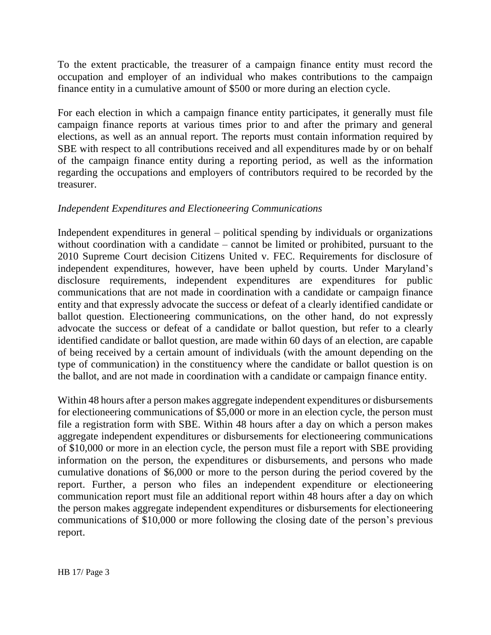To the extent practicable, the treasurer of a campaign finance entity must record the occupation and employer of an individual who makes contributions to the campaign finance entity in a cumulative amount of \$500 or more during an election cycle.

For each election in which a campaign finance entity participates, it generally must file campaign finance reports at various times prior to and after the primary and general elections, as well as an annual report. The reports must contain information required by SBE with respect to all contributions received and all expenditures made by or on behalf of the campaign finance entity during a reporting period, as well as the information regarding the occupations and employers of contributors required to be recorded by the treasurer.

## *Independent Expenditures and Electioneering Communications*

Independent expenditures in general – political spending by individuals or organizations without coordination with a candidate – cannot be limited or prohibited, pursuant to the 2010 Supreme Court decision Citizens United v. FEC. Requirements for disclosure of independent expenditures, however, have been upheld by courts. Under Maryland's disclosure requirements, independent expenditures are expenditures for public communications that are not made in coordination with a candidate or campaign finance entity and that expressly advocate the success or defeat of a clearly identified candidate or ballot question. Electioneering communications, on the other hand, do not expressly advocate the success or defeat of a candidate or ballot question, but refer to a clearly identified candidate or ballot question, are made within 60 days of an election, are capable of being received by a certain amount of individuals (with the amount depending on the type of communication) in the constituency where the candidate or ballot question is on the ballot, and are not made in coordination with a candidate or campaign finance entity.

Within 48 hours after a person makes aggregate independent expenditures or disbursements for electioneering communications of \$5,000 or more in an election cycle, the person must file a registration form with SBE. Within 48 hours after a day on which a person makes aggregate independent expenditures or disbursements for electioneering communications of \$10,000 or more in an election cycle, the person must file a report with SBE providing information on the person, the expenditures or disbursements, and persons who made cumulative donations of \$6,000 or more to the person during the period covered by the report. Further, a person who files an independent expenditure or electioneering communication report must file an additional report within 48 hours after a day on which the person makes aggregate independent expenditures or disbursements for electioneering communications of \$10,000 or more following the closing date of the person's previous report.